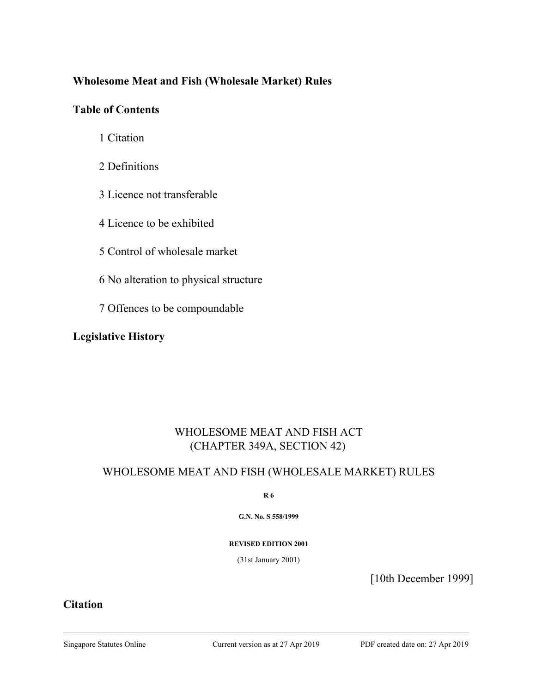## **Wholesome Meat and Fish (Wholesale Market) Rules**

### **Table of Contents**

- 1 Citation
- 2 Definitions
- 3 Licence not transferable
- 4 Licence to be exhibited
- 5 Control of wholesale market
- 6 No alteration to physical structure
- 7 Offences to be compoundable

### **Legislative History**

# WHOLESOME MEAT AND FISH ACT (CHAPTER 349A, SECTION 42)

### WHOLESOME MEAT AND FISH (WHOLESALE MARKET) RULES

**R 6**

**G.N. No. S 558/1999**

#### **REVISED EDITION 2001**

(31st January 2001)

[10th December 1999]

#### **Citation**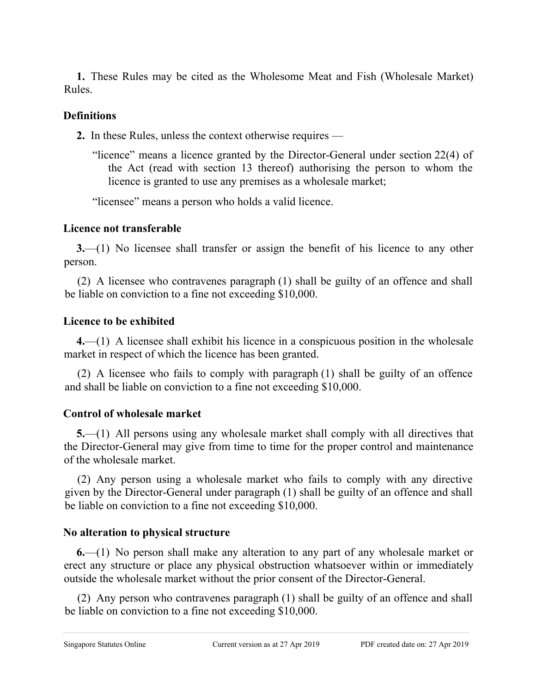**1.** These Rules may be cited as the Wholesome Meat and Fish (Wholesale Market) Rules.

## **Definitions**

**2.** In these Rules, unless the context otherwise requires —

"licence" means a licence granted by the Director-General under section 22(4) of the Act (read with section 13 thereof) authorising the person to whom the licence is granted to use any premises as a wholesale market;

"licensee" means a person who holds a valid licence.

# **Licence not transferable**

**3.**—(1) No licensee shall transfer or assign the benefit of his licence to any other person.

(2) A licensee who contravenes paragraph (1) shall be guilty of an offence and shall be liable on conviction to a fine not exceeding \$10,000.

# **Licence to be exhibited**

**4.**—(1) A licensee shall exhibit his licence in a conspicuous position in the wholesale market in respect of which the licence has been granted.

(2) A licensee who fails to comply with paragraph (1) shall be guilty of an offence and shall be liable on conviction to a fine not exceeding \$10,000.

# **Control of wholesale market**

**5.**—(1) All persons using any wholesale market shall comply with all directives that the Director-General may give from time to time for the proper control and maintenance of the wholesale market.

(2) Any person using a wholesale market who fails to comply with any directive given by the Director-General under paragraph (1) shall be guilty of an offence and shall be liable on conviction to a fine not exceeding \$10,000.

# **No alteration to physical structure**

**6.**—(1) No person shall make any alteration to any part of any wholesale market or erect any structure or place any physical obstruction whatsoever within or immediately outside the wholesale market without the prior consent of the Director-General.

(2) Any person who contravenes paragraph (1) shall be guilty of an offence and shall be liable on conviction to a fine not exceeding \$10,000.